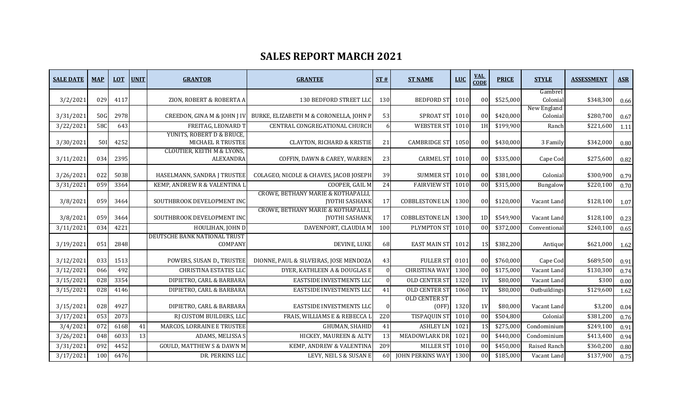## **SALES REPORT MARCH 2021**

| <b>SALE DATE</b> | <b>MAP</b> | <b>LOT</b> | <b>UNIT</b> | <b>GRANTOR</b>                                     | <b>GRANTEE</b>                                                        | ST#             | <b>ST NAME</b>                | <b>LUC</b> | <b>VAL</b><br><b>CODE</b> | <b>PRICE</b> | <b>STYLE</b>        | <b>ASSESSMENT</b> | <b>ASR</b> |
|------------------|------------|------------|-------------|----------------------------------------------------|-----------------------------------------------------------------------|-----------------|-------------------------------|------------|---------------------------|--------------|---------------------|-------------------|------------|
| 3/2/2021         | 029        | 4117       |             | ZION, ROBERT & ROBERTA A                           | 130 BEDFORD STREET LLO                                                | 130             | <b>BEDFORD ST</b>             | 1010       | 0 <sub>0</sub>            | \$525,000    | Gambrel<br>Colonial | \$348,300         | 0.66       |
|                  |            |            |             |                                                    |                                                                       |                 |                               |            |                           |              | New England         |                   |            |
| 3/31/2021        | <b>50G</b> | 2978       |             | CREEDON, GINA M & JOHN J IV                        | BURKE, ELIZABETH M & CORONELLA, JOHN P                                | 53              | <b>SPROAT ST</b>              | 1010       | 0 <sub>0</sub>            | \$420,000    | Colonial            | \$280,700         | 0.67       |
| 3/22/2021        | 580        | 643        |             | FREITAG, LEONARD T                                 | CENTRAL CONGREGATIONAL CHURCH                                         | 6               | <b>WEBSTER ST</b>             | 1010       | 1H                        | \$199.900    | Ranch               | \$221,600         | 1.11       |
| 3/30/2021        | <b>50I</b> | 4252       |             | YUNITS, ROBERT D & BRUCE,<br>MICHAEL R TRUSTEE     | <b>CLAYTON, RICHARD &amp; KRISTIE</b>                                 | 21              | <b>CAMBRIDGE ST</b>           | 1050       | 0 <sub>0</sub>            | \$430,000    | 3 Family            | \$342,000         | 0.80       |
| 3/11/2021        | 034        | 2395       |             | <b>CLOUTIER, KEITH M &amp; LYONS,</b><br>ALEXANDRA | COFFIN, DAWN & CAREY, WARREN                                          | 23              | <b>CARMEL ST</b>              | 1010       | 00                        | \$335,000    | Cape Cod            | \$275,600         | 0.82       |
| 3/26/2021        | 022        | 5038       |             | HASELMANN, SANDRA J TRUSTEE                        | COLAGEO, NICOLE & CHAVES, JACOB JOSEPH                                | 39              | <b>SUMMER ST</b>              | 1010       | 0 <sub>0</sub>            | \$381,000    | Colonial            | \$300,900         | 0.79       |
| 3/31/2021        | 059        | 3364       |             | KEMP, ANDREW R & VALENTINA I                       | COOPER, GAIL M                                                        | 24              | <b>FAIRVIEW ST</b>            | 1010       | 0 <sub>0</sub>            | \$315,000    | Bungalow            | \$220,100         | 0.70       |
| 3/8/2021         | 059        | 3464       |             | SOUTHBROOK DEVELOPMENT INC                         | CROWE, BETHANY MARIE & KOTHAPALLI<br><b>JYOTHI SASHANK</b>            | 17              | <b>COBBLESTONE LN</b>         | 1300       | 0 <sub>0</sub>            | \$120,000    | Vacant Land         | \$128,100         | 1.07       |
| 3/8/2021         | 059        | 3464       |             | SOUTHBROOK DEVELOPMENT INC                         | <b>CROWE, BETHANY MARIE &amp; KOTHAPALLI</b><br><b>JYOTHI SASHANK</b> | 17              | <b>COBBLESTONE LN</b>         | 1300       | 1D                        | \$549,900    | Vacant Land         | \$128,100         | 0.23       |
| 3/11/2021        | 034        | 4221       |             | HOULIHAN, JOHN D                                   | DAVENPORT, CLAUDIA M                                                  | 100             | PLYMPTON ST                   | 1010       | 00                        | \$372,000    | Conventional        | \$240,100         | 0.65       |
| 3/19/2021        | 051        | 2848       |             | DEUTSCHE BANK NATIONAL TRUST<br>COMPANY            | DEVINE, LUKE                                                          | 68              | <b>EAST MAIN ST</b>           | 1012       | 1 S                       | \$382,200    | Antique             | \$621,000         | 1.62       |
| 3/12/2021        | 033        | 1513       |             | POWERS, SUSAN D., TRUSTEE                          | DIONNE, PAUL & SILVEIRAS, JOSE MENDOZA                                | 43              | <b>FULLER ST</b>              | 0101       | 00                        | \$760,000    | Cape Cod            | \$689,500         | 0.91       |
| 3/12/2021        | 066        | 492        |             | <b>CHRISTINA ESTATES LLC</b>                       | DYER, KATHLEEN A & DOUGLAS E                                          | $\overline{0}$  | <b>CHRISTINA WAY</b>          | 1300       | 00                        | \$175,000    | Vacant Land         | \$130,300         | 0.74       |
| 3/15/2021        | 028        | 3354       |             | DIPIETRO, CARL & BARBARA                           | EASTSIDE INVESTMENTS LLC                                              | $\Omega$        | OLD CENTER ST                 | 1320       | 1 <sub>V</sub>            | \$80,000     | Vacant Land         | \$300             | 0.00       |
| 3/15/2021        | 028        | 4146       |             | DIPIETRO, CARL & BARBARA                           | EASTSIDE INVESTMENTS LLC                                              | 41              | OLD CENTER ST                 | 1060       | 1 <sub>V</sub>            | \$80,000     | Outbuildings        | \$129,600         | 1.62       |
| 3/15/2021        | 028        | 4927       |             | DIPIETRO, CARL & BARBARA                           | EASTSIDE INVESTMENTS LLC                                              | $\overline{0}$  | <b>OLD CENTER ST</b><br>(OFF) | 1320       | 1V                        | \$80,000     | Vacant Land         | \$3,200           | 0.04       |
| 3/17/2021        | 053        | 2073       |             | RJ CUSTOM BUILDERS, LLC                            | FRAIS, WILLIAMS E & REBECCA                                           | 220             | <b>TISPAQUIN ST</b>           | 1010       | 00                        | \$504,800    | Colonial            | \$381,200         | 0.76       |
| 3/4/2021         | 072        | 6168       | 41          | MARCOS, LORRAINE E TRUSTEE                         | GHUMAN, SHAHID                                                        | 41              | <b>ASHLEY LN</b>              | 1021       |                           | \$275,000    | Condominium         | \$249,100         | 0.91       |
| 3/26/2021        | 048        | 6033       | 13          | ADAMS, MELISSA S                                   | HICKEY, MAUREEN & ALTY                                                | 13              | MEADOWLARK DR                 | 1021       | 0 <sub>0</sub>            | \$440,000    | Condominium         | \$413,400         | 0.94       |
| 3/31/2021        | 092        | 4452       |             | <b>GOULD, MATTHEW S &amp; DAWN M</b>               | KEMP, ANDREW & VALENTINA                                              | 209             | <b>MILLER ST</b>              | 1010       | 0 <sub>0</sub>            | \$450,000    | Raised Ranch        | \$360,200         | 0.80       |
| 3/17/2021        | 100        | 6476       |             | DR. PERKINS LLC                                    | LEVY, NEIL S & SUSAN E                                                | 60 <sup>1</sup> | <b>JOHN PERKINS WAY</b>       | 1300       | 0 <sub>0</sub>            | \$185,000    | Vacant Land         | \$137,900         | 0.75       |